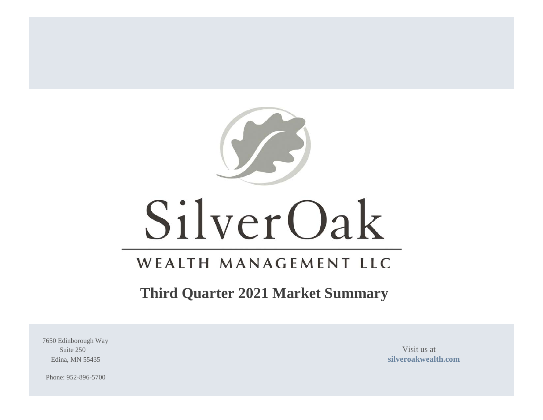

# SilverOak

# WEALTH MANAGEMENT LLC

# **Third Quarter 2021 Market Summary**

7650 Edinborough Way Suite 250 Visit us at

Edina, MN 55435 **[silveroakwealth.com](http://www.silveroakwealth.com/silveroakwealth.aspx)**

Phone: 952-896-5700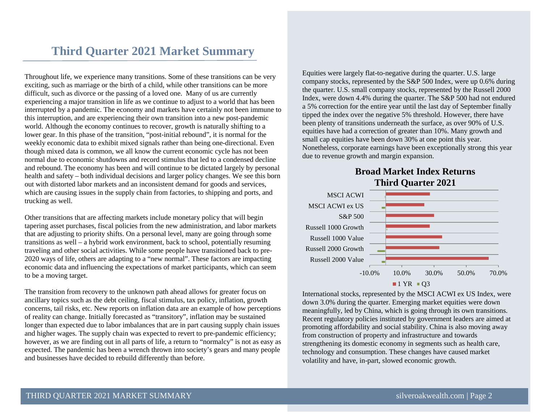### **Third Quarter 2021 Market Summary**

Throughout life, we experience many transitions. Some of these transitions can be very exciting, such as marriage or the birth of a child, while other transitions can be more difficult, such as divorce or the passing of a loved one. Many of us are currently experiencing a major transition in life as we continue to adjust to a world that has been interrupted by a pandemic. The economy and markets have certainly not been immune to this interruption, and are experiencing their own transition into a new post-pandemic world. Although the economy continues to recover, growth is naturally shifting to a lower gear. In this phase of the transition, "post-initial rebound", it is normal for the weekly economic data to exhibit mixed signals rather than being one-directional. Even though mixed data is common, we all know the current economic cycle has not been normal due to economic shutdowns and record stimulus that led to a condensed decline and rebound. The economy has been and will continue to be dictated largely by personal health and safety – both individual decisions and larger policy changes. We see this born out with distorted labor markets and an inconsistent demand for goods and services, which are causing issues in the supply chain from factories, to shipping and ports, and trucking as well.

Other transitions that are affecting markets include monetary policy that will begin tapering asset purchases, fiscal policies from the new administration, and labor markets that are adjusting to priority shifts. On a personal level, many are going through some transitions as well – a hybrid work environment, back to school, potentially resuming traveling and other social activities. While some people have transitioned back to pre-2020 ways of life, others are adapting to a "new normal". These factors are impacting economic data and influencing the expectations of market participants, which can seem to be a moving target.

The transition from recovery to the unknown path ahead allows for greater focus on ancillary topics such as the debt ceiling, fiscal stimulus, tax policy, inflation, growth concerns, tail risks, etc. New reports on inflation data are an example of how perceptions of reality can change. Initially forecasted as "transitory", inflation may be sustained longer than expected due to labor imbalances that are in part causing supply chain issues and higher wages. The supply chain was expected to revert to pre-pandemic efficiency; however, as we are finding out in all parts of life, a return to "normalcy" is not as easy as expected. The pandemic has been a wrench thrown into society's gears and many people and businesses have decided to rebuild differently than before.

Equities were largely flat-to-negative during the quarter. U.S. large company stocks, represented by the S&P 500 Index, were up 0.6% during the quarter. U.S. small company stocks, represented by the Russell 2000 Index, were down 4.4% during the quarter. The S&P 500 had not endured a 5% correction for the entire year until the last day of September finally tipped the index over the negative 5% threshold. However, there have been plenty of transitions underneath the surface, as over 90% of U.S. equities have had a correction of greater than 10%. Many growth and small cap equities have been down 30% at one point this year. Nonetheless, corporate earnings have been exceptionally strong this year due to revenue growth and margin expansion.

#### **Broad Market Index Returns Third Quarter 2021**



International stocks, represented by the MSCI ACWI ex US Index, were down 3.0% during the quarter. Emerging market equities were down meaningfully, led by China, which is going through its own transitions. Recent regulatory policies instituted by government leaders are aimed at promoting affordability and social stability. China is also moving away from construction of property and infrastructure and towards strengthening its domestic economy in segments such as health care, technology and consumption. These changes have caused market volatility and have, in-part, slowed economic growth.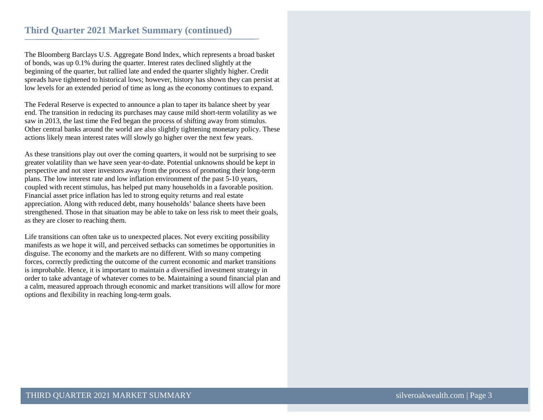The Bloomberg Barclays U.S. Aggregate Bond Index, which represents a broad basket of bonds, was up 0.1% during the quarter. Interest rates declined slightly at the beginning of the quarter, but rallied late and ended the quarter slightly higher. Credit spreads have tightened to historical lows; however, history has shown they can persist at low levels for an extended period of time as long as the economy continues to expand.

The Federal Reserve is expected to announce a plan to taper its balance sheet by year end. The transition in reducing its purchases may cause mild short-term volatility as we saw in 2013, the last time the Fed began the process of shifting away from stimulus. Other central banks around the world are also slightly tightening monetary policy. These actions likely mean interest rates will slowly go higher over the next few years.

As these transitions play out over the coming quarters, it would not be surprising to see greater volatility than we have seen year-to-date. Potential unknowns should be kept in perspective and not steer investors away from the process of promoting their long-term plans. The low interest rate and low inflation environment of the past 5-10 years, coupled with recent stimulus, has helped put many households in a favorable position. Financial asset price inflation has led to strong equity returns and real estate appreciation. Along with reduced debt, many households' balance sheets have been strengthened. Those in that situation may be able to take on less risk to meet their goals, as they are closer to reaching them.

Life transitions can often take us to unexpected places. Not every exciting possibility manifests as we hope it will, and perceived setbacks can sometimes be opportunities in disguise. The economy and the markets are no different. With so many competing forces, correctly predicting the outcome of the current economic and market transitions is improbable. Hence, it is important to maintain a diversified investment strategy in order to take advantage of whatever comes to be. Maintaining a sound financial plan and a calm, measured approach through economic and market transitions will allow for more options and flexibility in reaching long-term goals.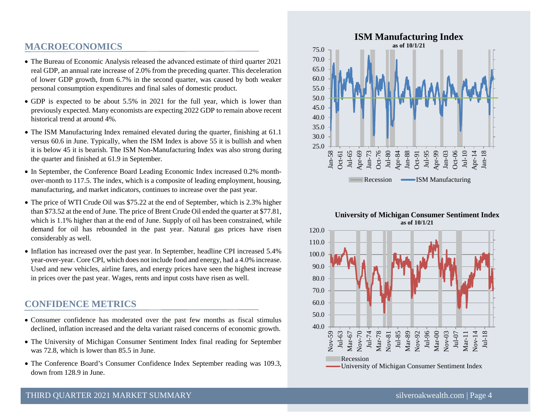#### **MACROECONOMICS**

- The Bureau of Economic Analysis released the advanced estimate of third quarter 2021 real GDP, an annual rate increase of 2.0% from the preceding quarter. This deceleration of lower GDP growth, from 6.7% in the second quarter, was caused by both weaker personal consumption expenditures and final sales of domestic product.
- GDP is expected to be about 5.5% in 2021 for the full year, which is lower than previously expected. Many economists are expecting 2022 GDP to remain above recent historical trend at around 4%.
- The ISM Manufacturing Index remained elevated during the quarter, finishing at 61.1 versus 60.6 in June. Typically, when the ISM Index is above 55 it is bullish and when it is below 45 it is bearish. The ISM Non-Manufacturing Index was also strong during the quarter and finished at 61.9 in September.
- In September, the Conference Board Leading Economic Index increased 0.2% monthover-month to 117.5. The index, which is a composite of leading employment, housing, manufacturing, and market indicators, continues to increase over the past year.
- The price of WTI Crude Oil was \$75.22 at the end of September, which is 2.3% higher than \$73.52 at the end of June. The price of Brent Crude Oil ended the quarter at \$77.81, which is 1.1% higher than at the end of June. Supply of oil has been constrained, while demand for oil has rebounded in the past year. Natural gas prices have risen considerably as well.
- Inflation has increased over the past year. In September, headline CPI increased 5.4% year-over-year. Core CPI, which does not include food and energy, had a 4.0% increase. Used and new vehicles, airline fares, and energy prices have seen the highest increase in prices over the past year. Wages, rents and input costs have risen as well.

#### **CONFIDENCE METRICS**

- Consumer confidence has moderated over the past few months as fiscal stimulus declined, inflation increased and the delta variant raised concerns of economic growth.
- The University of Michigan Consumer Sentiment Index final reading for September was 72.8, which is lower than 85.5 in June.
- The Conference Board's Consumer Confidence Index September reading was 109.3, down from 128.9 in June.



#### **University of Michigan Consumer Sentiment Index as of 10/1/21**

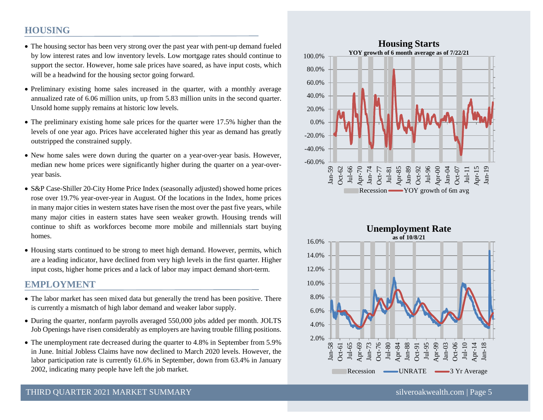#### **HOUSING**

- The housing sector has been very strong over the past year with pent-up demand fueled by low interest rates and low inventory levels. Low mortgage rates should continue to support the sector. However, home sale prices have soared, as have input costs, which will be a headwind for the housing sector going forward.
- Preliminary existing home sales increased in the quarter, with a monthly average annualized rate of 6.06 million units, up from 5.83 million units in the second quarter. Unsold home supply remains at historic low levels.
- The preliminary existing home sale prices for the quarter were 17.5% higher than the levels of one year ago. Prices have accelerated higher this year as demand has greatly outstripped the constrained supply.
- New home sales were down during the quarter on a year-over-year basis. However, median new home prices were significantly higher during the quarter on a year-overyear basis.
- S&P Case-Shiller 20-City Home Price Index (seasonally adjusted) showed home prices rose over 19.7% year-over-year in August. Of the locations in the Index, home prices in many major cities in western states have risen the most over the past five years, while many major cities in eastern states have seen weaker growth. Housing trends will continue to shift as workforces become more mobile and millennials start buying homes.
- Housing starts continued to be strong to meet high demand. However, permits, which are a leading indicator, have declined from very high levels in the first quarter. Higher input costs, higher home prices and a lack of labor may impact demand short-term.

#### **EMPLOYMENT**

- The labor market has seen mixed data but generally the trend has been positive. There is currently a mismatch of high labor demand and weaker labor supply.
- During the quarter, nonfarm payrolls averaged 550,000 jobs added per month. JOLTS Job Openings have risen considerably as employers are having trouble filling positions.
- The unemployment rate decreased during the quarter to 4.8% in September from 5.9% in June. Initial Jobless Claims have now declined to March 2020 levels. However, the labor participation rate is currently 61.6% in September, down from 63.4% in January 2002, indicating many people have left the job market.



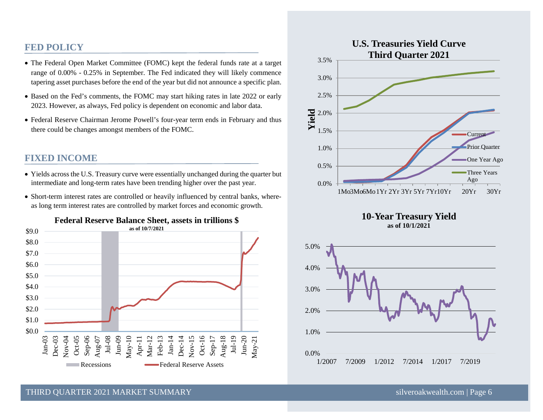#### **FED POLICY**

- The Federal Open Market Committee (FOMC) kept the federal funds rate at a target range of 0.00% - 0.25% in September. The Fed indicated they will likely commence tapering asset purchases before the end of the year but did not announce a specific plan.
- Based on the Fed's comments, the FOMC may start hiking rates in late 2022 or early 2023. However, as always, Fed policy is dependent on economic and labor data.
- Federal Reserve Chairman Jerome Powell's four-year term ends in February and thus there could be changes amongst members of the FOMC.

#### **FIXED INCOME**

- Yields across the U.S. Treasury curve were essentially unchanged during the quarter but intermediate and long-term rates have been trending higher over the past year.
- Short-term interest rates are controlled or heavily influenced by central banks, whereas long term interest rates are controlled by market forces and economic growth.





#### **10-Year Treasury Yield as of 10/1/2021**



#### THIRD OUARTER 2021 MARKET SUMMARY SILVERON SILVERO SILVEROAKWEALTHEED SILVEROAKWEALTHEED SILVEROAKWEALTHEED SI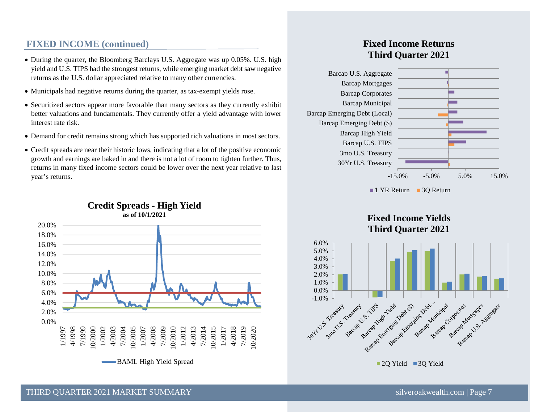#### **FIXED INCOME (continued)**

- During the quarter, the Bloomberg Barclays U.S. Aggregate was up 0.05%. U.S. high yield and U.S. TIPS had the strongest returns, while emerging market debt saw negative returns as the U.S. dollar appreciated relative to many other currencies.
- Municipals had negative returns during the quarter, as tax-exempt yields rose.
- Securitized sectors appear more favorable than many sectors as they currently exhibit better valuations and fundamentals. They currently offer a yield advantage with lower interest rate risk.
- Demand for credit remains strong which has supported rich valuations in most sectors.
- Credit spreads are near their historic lows, indicating that a lot of the positive economic growth and earnings are baked in and there is not a lot of room to tighten further. Thus, returns in many fixed income sectors could be lower over the next year relative to last year's returns.



#### **Credit Spreads - High Yield**

#### **Fixed Income Returns Third Quarter 2021**





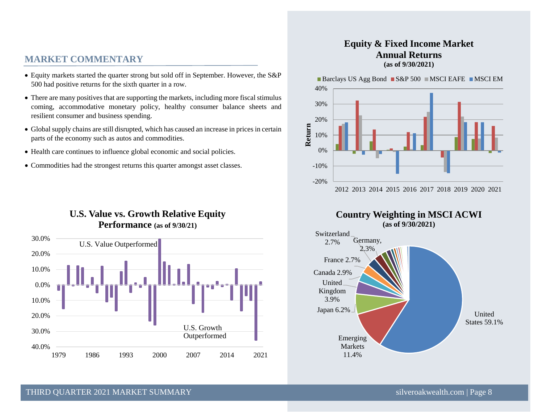#### **MARKET COMMENTARY**

- Equity markets started the quarter strong but sold off in September. However, the S&P 500 had positive returns for the sixth quarter in a row.
- There are many positives that are supporting the markets, including more fiscal stimulus coming, accommodative monetary policy, healthy consumer balance sheets and resilient consumer and business spending.
- Global supply chains are still disrupted, which has caused an increase in prices in certain parts of the economy such as autos and commodities.
- Health care continues to influence global economic and social policies.
- Commodities had the strongest returns this quarter amongst asset classes.

#### **U.S. Value vs. Growth Relative Equity Performance (as of 9/30/21)**



#### **Equity & Fixed Income Market Annual Returns (as of 9/30/2021)**

Barclays US Agg Bond  $\blacksquare$  S&P 500  $\blacksquare$  MSCI EAFE  $\blacksquare$  MSCI EM





#### THIRD OUARTER 2021 MARKET SUMMARY SILVERO AND SILVEROAKWEALTHEED SILVEROAKWEALTHEED SILVEROAKWEALTHEED SILVEROAKWEALTHEED SILVEROAKWEALTHEED SILVEROAKWEALTHEED SILVEROAKWEALTHEED SILVEROAKWEALTHEED SILVEROAKWEALTHEED SILVE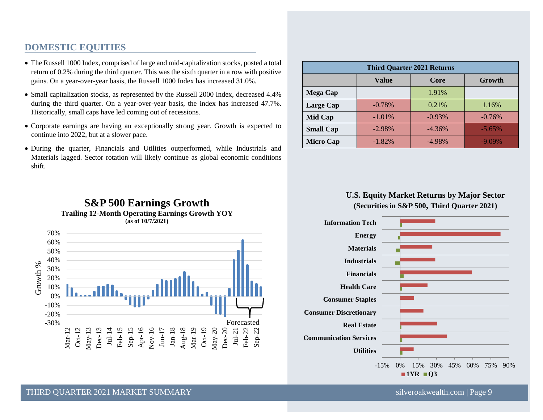#### **DOMESTIC EQUITIES**

- The Russell 1000 Index, comprised of large and mid-capitalization stocks, posted a total return of 0.2% during the third quarter. This was the sixth quarter in a row with positive gains. On a year-over-year basis, the Russell 1000 Index has increased 31.0%.
- Small capitalization stocks, as represented by the Russell 2000 Index, decreased 4.4% during the third quarter. On a year-over-year basis, the index has increased 47.7%. Historically, small caps have led coming out of recessions.
- Corporate earnings are having an exceptionally strong year. Growth is expected to continue into 2022, but at a slower pace.
- During the quarter, Financials and Utilities outperformed, while Industrials and Materials lagged. Sector rotation will likely continue as global economic conditions shift.

| <b>Third Quarter 2021 Returns</b> |          |           |           |
|-----------------------------------|----------|-----------|-----------|
|                                   | Value    | Core      | Growth    |
| <b>Mega Cap</b>                   |          | 1.91%     |           |
| <b>Large Cap</b>                  | $-0.78%$ | 0.21%     | 1.16%     |
| Mid Cap                           | $-1.01%$ | $-0.93%$  | $-0.76%$  |
| <b>Small Cap</b>                  | $-2.98%$ | $-4.36\%$ | $-5.65%$  |
| <b>Micro Cap</b>                  | $-1.82%$ | $-4.98%$  | $-9.09\%$ |

#### **U.S. Equity Market Returns by Major Sector (Securities in S&P 500, Third Quarter 2021)**



## **S&P 500 Earnings Growth Trailing 12-Month Operating Earnings Growth YOY (as of 10/7/2021)**



THIRD OUARTER 2021 MARKET SUMMARY SALL SERVICE SINGLE SUMMARY SILVEROAKWEALTHEED STATES SILVEROAKWEALTH.COM | Page 9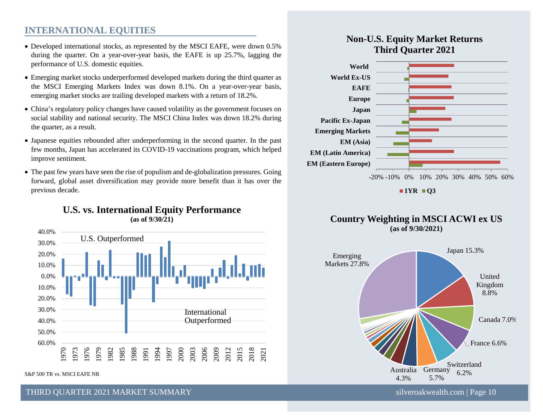#### **INTERNATIONAL EQUITIES**

- Developed international stocks, as represented by the MSCI EAFE, were down 0.5% during the quarter. On a year-over-year basis, the EAFE is up 25.7%, lagging the performance of U.S. domestic equities.
- Emerging market stocks underperformed developed markets during the third quarter as the MSCI Emerging Markets Index was down 8.1%. On a year-over-year basis, emerging market stocks are trailing developed markets with a return of 18.2%.
- China's regulatory policy changes have caused volatility as the government focuses on social stability and national security. The MSCI China Index was down 18.2% during the quarter, as a result.
- Japanese equities rebounded after underperforming in the second quarter. In the past few months, Japan has accelerated its COVID-19 vaccinations program, which helped improve sentiment.
- The past few years have seen the rise of populism and de-globalization pressures. Going forward, global asset diversification may provide more benefit than it has over the previous decade.



S&P 500 TR vs. MSCI EAFE NR

#### THIRD OUARTER 2021 MARKET SUMMARY SILVER AND SILVER SILVER SILVER SILVER SILVER SILVER SILVER SILVER SILVER SILVER SILVER SILVER SILVER SILVER SILVER SILVER SILVER SILVER SILVER SILVER SILVER SILVER SILVER SILVER SILVER SI

#### **Non-U.S. Equity Market Returns Third Quarter 2021**



 $1YR$  **Q3** 





#### **U.S. vs. International Equity Performance (as of 9/30/21)**